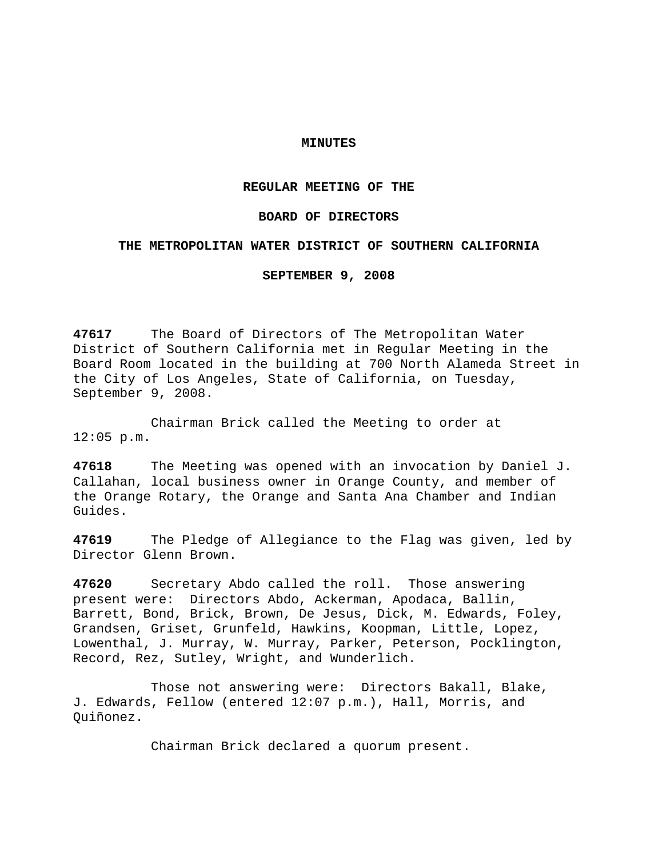## **MINUTES**

## **REGULAR MEETING OF THE**

## **BOARD OF DIRECTORS**

## **THE METROPOLITAN WATER DISTRICT OF SOUTHERN CALIFORNIA**

**SEPTEMBER 9, 2008** 

**47617** The Board of Directors of The Metropolitan Water District of Southern California met in Regular Meeting in the Board Room located in the building at 700 North Alameda Street in the City of Los Angeles, State of California, on Tuesday, September 9, 2008.

 Chairman Brick called the Meeting to order at 12:05 p.m.

**47618** The Meeting was opened with an invocation by Daniel J. Callahan, local business owner in Orange County, and member of the Orange Rotary, the Orange and Santa Ana Chamber and Indian Guides.

**47619** The Pledge of Allegiance to the Flag was given, led by Director Glenn Brown.

**47620** Secretary Abdo called the roll. Those answering present were: Directors Abdo, Ackerman, Apodaca, Ballin, Barrett, Bond, Brick, Brown, De Jesus, Dick, M. Edwards, Foley, Grandsen, Griset, Grunfeld, Hawkins, Koopman, Little, Lopez, Lowenthal, J. Murray, W. Murray, Parker, Peterson, Pocklington, Record, Rez, Sutley, Wright, and Wunderlich.

 Those not answering were: Directors Bakall, Blake, J. Edwards, Fellow (entered 12:07 p.m.), Hall, Morris, and Quiñonez.

Chairman Brick declared a quorum present.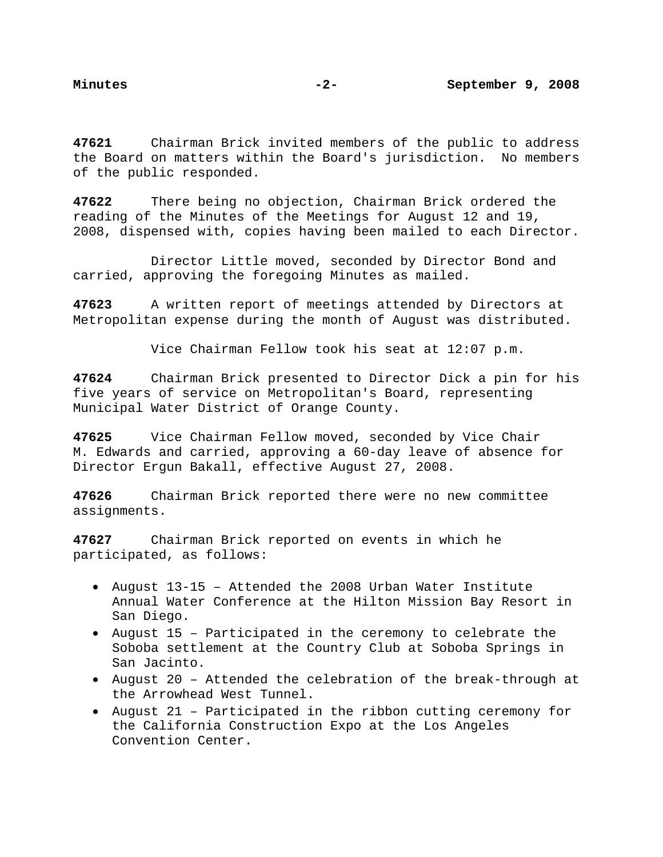**47621** Chairman Brick invited members of the public to address the Board on matters within the Board's jurisdiction. No members of the public responded.

**47622** There being no objection, Chairman Brick ordered the reading of the Minutes of the Meetings for August 12 and 19, 2008, dispensed with, copies having been mailed to each Director.

 Director Little moved, seconded by Director Bond and carried, approving the foregoing Minutes as mailed.

**47623** A written report of meetings attended by Directors at Metropolitan expense during the month of August was distributed.

Vice Chairman Fellow took his seat at 12:07 p.m.

**47624** Chairman Brick presented to Director Dick a pin for his five years of service on Metropolitan's Board, representing Municipal Water District of Orange County.

**47625** Vice Chairman Fellow moved, seconded by Vice Chair M. Edwards and carried, approving a 60-day leave of absence for Director Ergun Bakall, effective August 27, 2008.

**47626** Chairman Brick reported there were no new committee assignments.

**47627** Chairman Brick reported on events in which he participated, as follows:

- August 13-15 Attended the 2008 Urban Water Institute Annual Water Conference at the Hilton Mission Bay Resort in San Diego.
- August 15 Participated in the ceremony to celebrate the Soboba settlement at the Country Club at Soboba Springs in San Jacinto.
- August 20 Attended the celebration of the break-through at the Arrowhead West Tunnel.
- August 21 Participated in the ribbon cutting ceremony for the California Construction Expo at the Los Angeles Convention Center.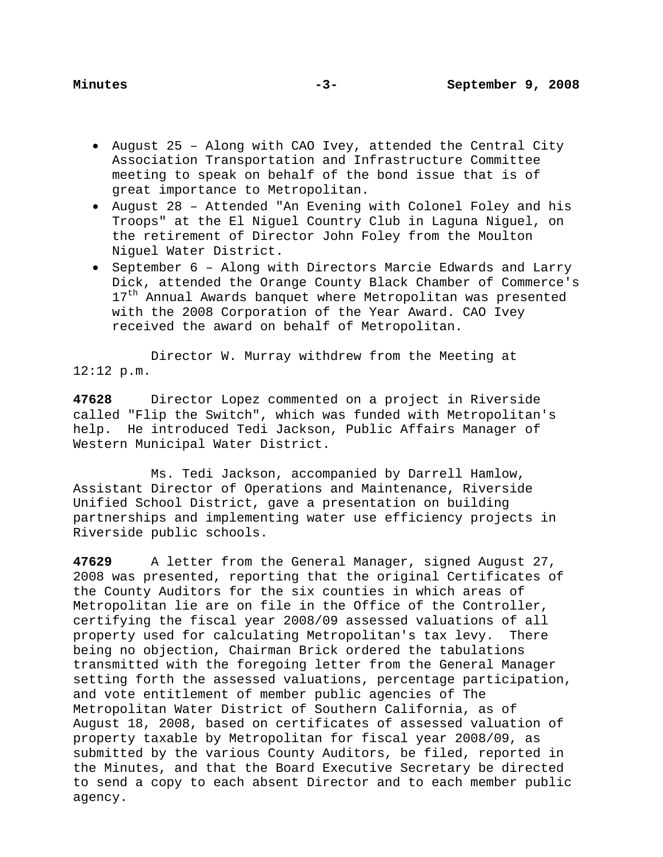- August 25 Along with CAO Ivey, attended the Central City Association Transportation and Infrastructure Committee meeting to speak on behalf of the bond issue that is of great importance to Metropolitan.
- August 28 Attended "An Evening with Colonel Foley and his Troops" at the El Niguel Country Club in Laguna Niguel, on the retirement of Director John Foley from the Moulton Niguel Water District.
- September 6 Along with Directors Marcie Edwards and Larry Dick, attended the Orange County Black Chamber of Commerce's 17<sup>th</sup> Annual Awards banquet where Metropolitan was presented with the 2008 Corporation of the Year Award. CAO Ivey received the award on behalf of Metropolitan.

Director W. Murray withdrew from the Meeting at 12:12 p.m.

**47628** Director Lopez commented on a project in Riverside called "Flip the Switch", which was funded with Metropolitan's help. He introduced Tedi Jackson, Public Affairs Manager of Western Municipal Water District.

 Ms. Tedi Jackson, accompanied by Darrell Hamlow, Assistant Director of Operations and Maintenance, Riverside Unified School District, gave a presentation on building partnerships and implementing water use efficiency projects in Riverside public schools.

**47629** A letter from the General Manager, signed August 27, 2008 was presented, reporting that the original Certificates of the County Auditors for the six counties in which areas of Metropolitan lie are on file in the Office of the Controller, certifying the fiscal year 2008/09 assessed valuations of all property used for calculating Metropolitan's tax levy. There being no objection, Chairman Brick ordered the tabulations transmitted with the foregoing letter from the General Manager setting forth the assessed valuations, percentage participation, and vote entitlement of member public agencies of The Metropolitan Water District of Southern California, as of August 18, 2008, based on certificates of assessed valuation of property taxable by Metropolitan for fiscal year 2008/09, as submitted by the various County Auditors, be filed, reported in the Minutes, and that the Board Executive Secretary be directed to send a copy to each absent Director and to each member public agency.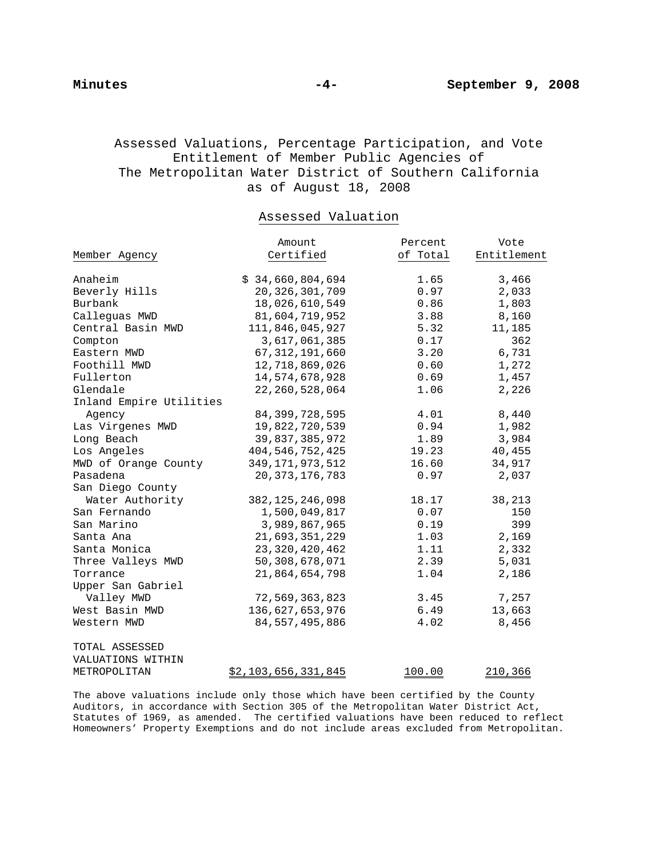# Assessed Valuations, Percentage Participation, and Vote Entitlement of Member Public Agencies of The Metropolitan Water District of Southern California as of August 18, 2008

# Assessed Valuation

|                         | Amount              | Percent       | Vote           |
|-------------------------|---------------------|---------------|----------------|
| Member Agency           | Certified           | of Total      | Entitlement    |
|                         |                     |               |                |
| Anaheim                 | \$34,660,804,694    | 1.65          | 3,466          |
| Beverly Hills           | 20, 326, 301, 709   | 0.97          | 2,033          |
| Burbank                 | 18,026,610,549      | 0.86          | 1,803          |
| Callequas MWD           | 81,604,719,952      | 3.88          | 8,160          |
| Central Basin MWD       | 111,846,045,927     | 5.32          | 11,185         |
| Compton                 | 3,617,061,385       | 0.17          | 362            |
| Eastern MWD             | 67, 312, 191, 660   | 3.20          | 6,731          |
| Foothill MWD            | 12,718,869,026      | 0.60          | 1,272          |
| Fullerton               | 14,574,678,928      | 0.69          | 1,457          |
| Glendale                | 22, 260, 528, 064   | 1.06          | 2,226          |
| Inland Empire Utilities |                     |               |                |
| Agency                  | 84, 399, 728, 595   | 4.01          | 8,440          |
| Las Virgenes MWD        | 19,822,720,539      | 0.94          | 1,982          |
| Long Beach              | 39,837,385,972      | 1.89          | 3,984          |
| Los Angeles             | 404, 546, 752, 425  | 19.23         | 40,455         |
| MWD of Orange County    | 349, 171, 973, 512  | 16.60         | 34,917         |
| Pasadena                | 20, 373, 176, 783   | 0.97          | 2,037          |
| San Diego County        |                     |               |                |
| Water Authority         | 382, 125, 246, 098  | 18.17         | 38,213         |
| San Fernando            | 1,500,049,817       | 0.07          | 150            |
| San Marino              | 3,989,867,965       | 0.19          | 399            |
| Santa Ana               | 21,693,351,229      | 1.03          | 2,169          |
| Santa Monica            | 23, 320, 420, 462   | 1.11          | 2,332          |
| Three Valleys MWD       | 50,308,678,071      | 2.39          | 5,031          |
| Torrance                | 21,864,654,798      | 1.04          | 2,186          |
| Upper San Gabriel       |                     |               |                |
| Valley MWD              | 72,569,363,823      | 3.45          | 7,257          |
| West Basin MWD          | 136,627,653,976     | 6.49          | 13,663         |
| Western MWD             | 84, 557, 495, 886   | 4.02          | 8,456          |
| TOTAL ASSESSED          |                     |               |                |
| VALUATIONS WITHIN       |                     |               |                |
| METROPOLITAN            | \$2,103,656,331,845 | <u>100.00</u> | <u>210,366</u> |

The above valuations include only those which have been certified by the County Auditors, in accordance with Section 305 of the Metropolitan Water District Act, Statutes of 1969, as amended. The certified valuations have been reduced to reflect Homeowners' Property Exemptions and do not include areas excluded from Metropolitan.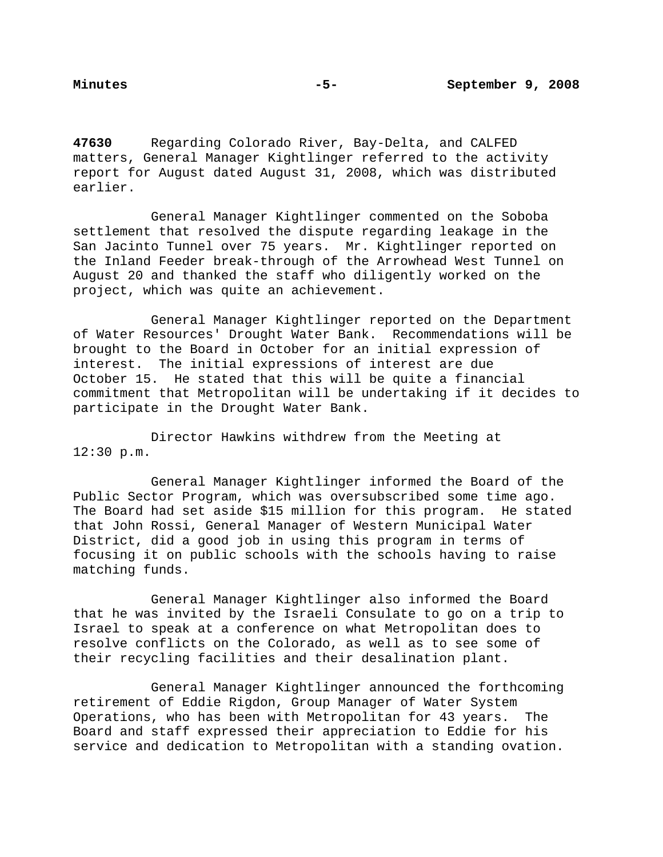**47630** Regarding Colorado River, Bay-Delta, and CALFED matters, General Manager Kightlinger referred to the activity report for August dated August 31, 2008, which was distributed earlier.

General Manager Kightlinger commented on the Soboba settlement that resolved the dispute regarding leakage in the San Jacinto Tunnel over 75 years. Mr. Kightlinger reported on the Inland Feeder break-through of the Arrowhead West Tunnel on August 20 and thanked the staff who diligently worked on the project, which was quite an achievement.

General Manager Kightlinger reported on the Department of Water Resources' Drought Water Bank. Recommendations will be brought to the Board in October for an initial expression of interest. The initial expressions of interest are due October 15. He stated that this will be quite a financial commitment that Metropolitan will be undertaking if it decides to participate in the Drought Water Bank.

Director Hawkins withdrew from the Meeting at 12:30 p.m.

General Manager Kightlinger informed the Board of the Public Sector Program, which was oversubscribed some time ago. The Board had set aside \$15 million for this program. He stated that John Rossi, General Manager of Western Municipal Water District, did a good job in using this program in terms of focusing it on public schools with the schools having to raise matching funds.

General Manager Kightlinger also informed the Board that he was invited by the Israeli Consulate to go on a trip to Israel to speak at a conference on what Metropolitan does to resolve conflicts on the Colorado, as well as to see some of their recycling facilities and their desalination plant.

General Manager Kightlinger announced the forthcoming retirement of Eddie Rigdon, Group Manager of Water System Operations, who has been with Metropolitan for 43 years. The Board and staff expressed their appreciation to Eddie for his service and dedication to Metropolitan with a standing ovation.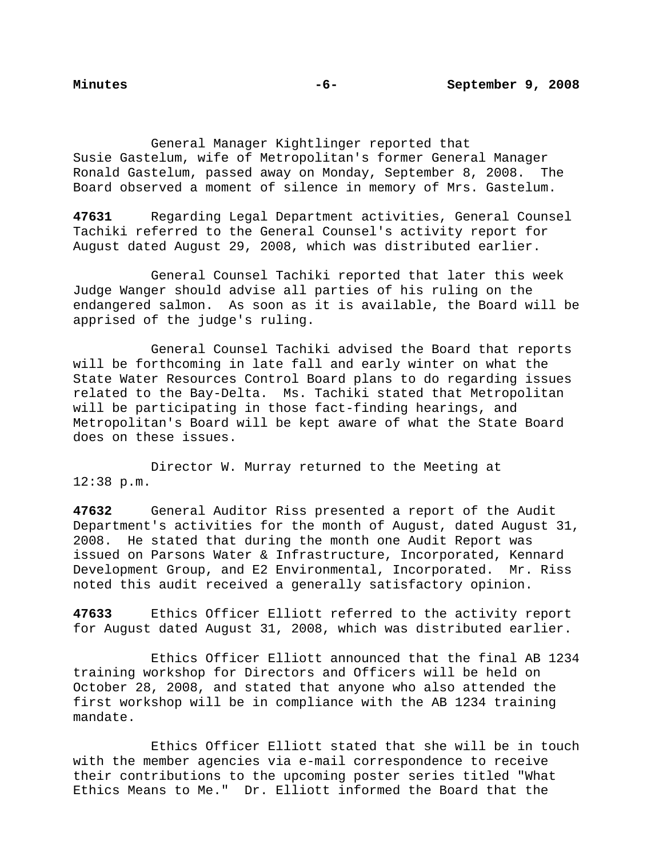General Manager Kightlinger reported that Susie Gastelum, wife of Metropolitan's former General Manager Ronald Gastelum, passed away on Monday, September 8, 2008. The Board observed a moment of silence in memory of Mrs. Gastelum.

**47631** Regarding Legal Department activities, General Counsel Tachiki referred to the General Counsel's activity report for August dated August 29, 2008, which was distributed earlier.

General Counsel Tachiki reported that later this week Judge Wanger should advise all parties of his ruling on the endangered salmon. As soon as it is available, the Board will be apprised of the judge's ruling.

General Counsel Tachiki advised the Board that reports will be forthcoming in late fall and early winter on what the State Water Resources Control Board plans to do regarding issues related to the Bay-Delta. Ms. Tachiki stated that Metropolitan will be participating in those fact-finding hearings, and Metropolitan's Board will be kept aware of what the State Board does on these issues.

Director W. Murray returned to the Meeting at 12:38 p.m.

**47632** General Auditor Riss presented a report of the Audit Department's activities for the month of August, dated August 31, 2008. He stated that during the month one Audit Report was issued on Parsons Water & Infrastructure, Incorporated, Kennard Development Group, and E2 Environmental, Incorporated. Mr. Riss noted this audit received a generally satisfactory opinion.

**47633** Ethics Officer Elliott referred to the activity report for August dated August 31, 2008, which was distributed earlier.

 Ethics Officer Elliott announced that the final AB 1234 training workshop for Directors and Officers will be held on October 28, 2008, and stated that anyone who also attended the first workshop will be in compliance with the AB 1234 training mandate.

 Ethics Officer Elliott stated that she will be in touch with the member agencies via e-mail correspondence to receive their contributions to the upcoming poster series titled "What Ethics Means to Me." Dr. Elliott informed the Board that the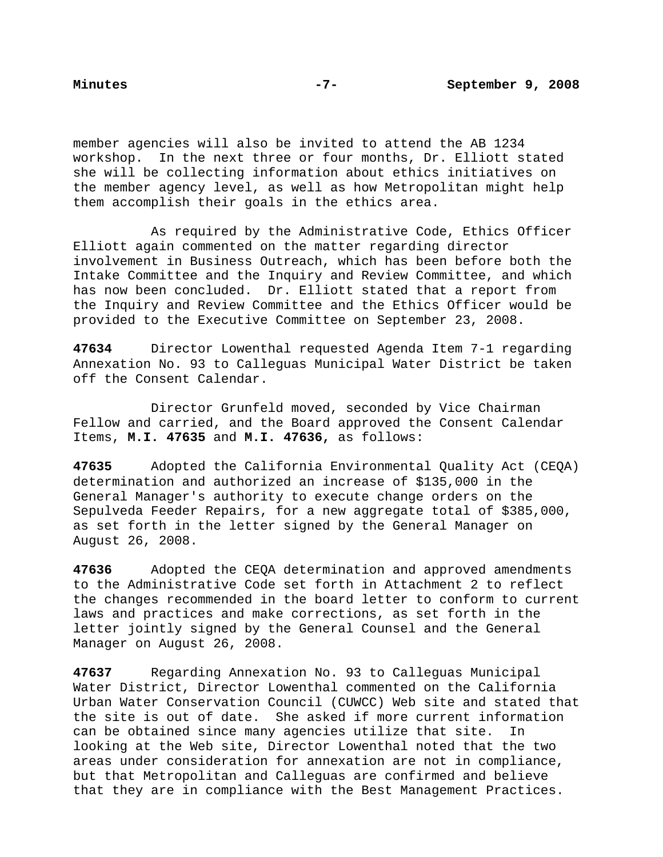member agencies will also be invited to attend the AB 1234 workshop. In the next three or four months, Dr. Elliott stated she will be collecting information about ethics initiatives on the member agency level, as well as how Metropolitan might help them accomplish their goals in the ethics area.

 As required by the Administrative Code, Ethics Officer Elliott again commented on the matter regarding director involvement in Business Outreach, which has been before both the Intake Committee and the Inquiry and Review Committee, and which has now been concluded. Dr. Elliott stated that a report from the Inquiry and Review Committee and the Ethics Officer would be provided to the Executive Committee on September 23, 2008.

**47634** Director Lowenthal requested Agenda Item 7-1 regarding Annexation No. 93 to Calleguas Municipal Water District be taken off the Consent Calendar.

 Director Grunfeld moved, seconded by Vice Chairman Fellow and carried, and the Board approved the Consent Calendar Items, **M.I. 47635** and **M.I. 47636,** as follows:

**47635** Adopted the California Environmental Quality Act (CEQA) determination and authorized an increase of \$135,000 in the General Manager's authority to execute change orders on the Sepulveda Feeder Repairs, for a new aggregate total of \$385,000, as set forth in the letter signed by the General Manager on August 26, 2008.

**47636** Adopted the CEQA determination and approved amendments to the Administrative Code set forth in Attachment 2 to reflect the changes recommended in the board letter to conform to current laws and practices and make corrections, as set forth in the letter jointly signed by the General Counsel and the General Manager on August 26, 2008.

**47637** Regarding Annexation No. 93 to Calleguas Municipal Water District, Director Lowenthal commented on the California Urban Water Conservation Council (CUWCC) Web site and stated that the site is out of date. She asked if more current information can be obtained since many agencies utilize that site. In looking at the Web site, Director Lowenthal noted that the two areas under consideration for annexation are not in compliance, but that Metropolitan and Calleguas are confirmed and believe that they are in compliance with the Best Management Practices.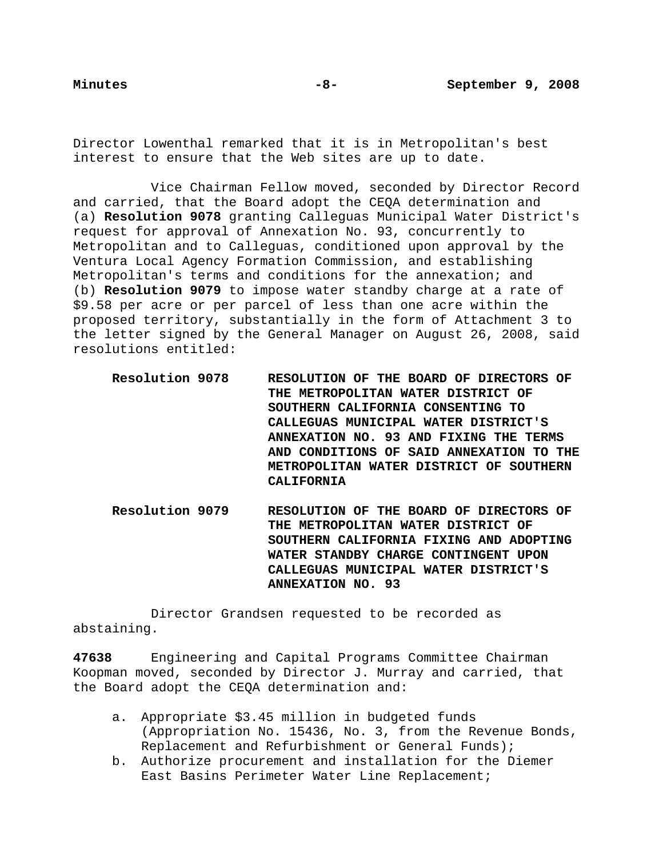Director Lowenthal remarked that it is in Metropolitan's best interest to ensure that the Web sites are up to date.

Vice Chairman Fellow moved, seconded by Director Record and carried, that the Board adopt the CEQA determination and (a) **Resolution 9078** granting Calleguas Municipal Water District's request for approval of Annexation No. 93, concurrently to Metropolitan and to Calleguas, conditioned upon approval by the Ventura Local Agency Formation Commission, and establishing Metropolitan's terms and conditions for the annexation; and (b) **Resolution 9079** to impose water standby charge at a rate of \$9.58 per acre or per parcel of less than one acre within the proposed territory, substantially in the form of Attachment 3 to the letter signed by the General Manager on August 26, 2008, said resolutions entitled:

- **Resolution 9078 RESOLUTION OF THE BOARD OF DIRECTORS OF THE METROPOLITAN WATER DISTRICT OF SOUTHERN CALIFORNIA CONSENTING TO CALLEGUAS MUNICIPAL WATER DISTRICT'S ANNEXATION NO. 93 AND FIXING THE TERMS AND CONDITIONS OF SAID ANNEXATION TO THE METROPOLITAN WATER DISTRICT OF SOUTHERN CALIFORNIA**
- **Resolution 9079 RESOLUTION OF THE BOARD OF DIRECTORS OF THE METROPOLITAN WATER DISTRICT OF SOUTHERN CALIFORNIA FIXING AND ADOPTING WATER STANDBY CHARGE CONTINGENT UPON CALLEGUAS MUNICIPAL WATER DISTRICT'S ANNEXATION NO. 93**

 Director Grandsen requested to be recorded as abstaining.

**47638** Engineering and Capital Programs Committee Chairman Koopman moved, seconded by Director J. Murray and carried, that the Board adopt the CEQA determination and:

- a. Appropriate \$3.45 million in budgeted funds (Appropriation No. 15436, No. 3, from the Revenue Bonds, Replacement and Refurbishment or General Funds);
- b. Authorize procurement and installation for the Diemer East Basins Perimeter Water Line Replacement;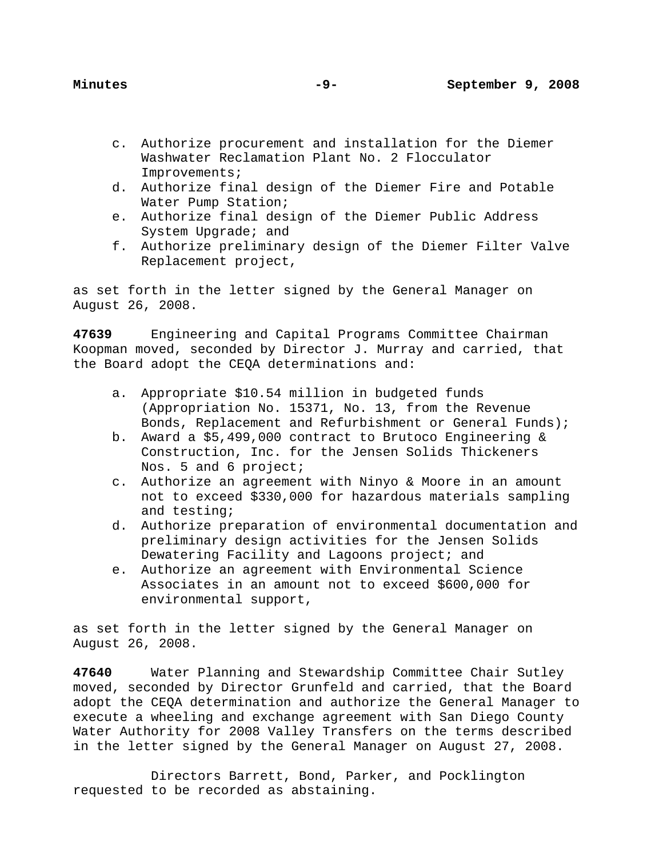- c. Authorize procurement and installation for the Diemer Washwater Reclamation Plant No. 2 Flocculator Improvements;
- d. Authorize final design of the Diemer Fire and Potable Water Pump Station;
- e. Authorize final design of the Diemer Public Address System Upgrade; and
- f. Authorize preliminary design of the Diemer Filter Valve Replacement project,

as set forth in the letter signed by the General Manager on August 26, 2008.

**47639** Engineering and Capital Programs Committee Chairman Koopman moved, seconded by Director J. Murray and carried, that the Board adopt the CEQA determinations and:

- a. Appropriate \$10.54 million in budgeted funds (Appropriation No. 15371, No. 13, from the Revenue Bonds, Replacement and Refurbishment or General Funds);
- b. Award a \$5,499,000 contract to Brutoco Engineering & Construction, Inc. for the Jensen Solids Thickeners Nos. 5 and 6 project;
- c. Authorize an agreement with Ninyo & Moore in an amount not to exceed \$330,000 for hazardous materials sampling and testing;
- d. Authorize preparation of environmental documentation and preliminary design activities for the Jensen Solids Dewatering Facility and Lagoons project; and
- e. Authorize an agreement with Environmental Science Associates in an amount not to exceed \$600,000 for environmental support,

as set forth in the letter signed by the General Manager on August 26, 2008.

**47640** Water Planning and Stewardship Committee Chair Sutley moved, seconded by Director Grunfeld and carried, that the Board adopt the CEQA determination and authorize the General Manager to execute a wheeling and exchange agreement with San Diego County Water Authority for 2008 Valley Transfers on the terms described in the letter signed by the General Manager on August 27, 2008.

Directors Barrett, Bond, Parker, and Pocklington requested to be recorded as abstaining.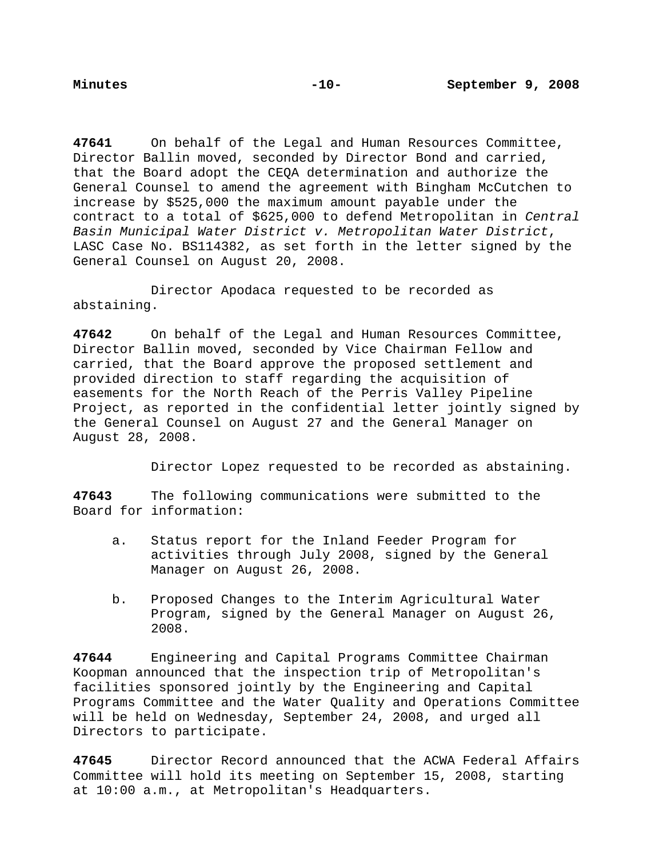**47641** On behalf of the Legal and Human Resources Committee, Director Ballin moved, seconded by Director Bond and carried, that the Board adopt the CEQA determination and authorize the General Counsel to amend the agreement with Bingham McCutchen to increase by \$525,000 the maximum amount payable under the contract to a total of \$625,000 to defend Metropolitan in *Central Basin Municipal Water District v. Metropolitan Water District*, LASC Case No. BS114382, as set forth in the letter signed by the General Counsel on August 20, 2008.

 Director Apodaca requested to be recorded as abstaining.

**47642** On behalf of the Legal and Human Resources Committee, Director Ballin moved, seconded by Vice Chairman Fellow and carried, that the Board approve the proposed settlement and provided direction to staff regarding the acquisition of easements for the North Reach of the Perris Valley Pipeline Project, as reported in the confidential letter jointly signed by the General Counsel on August 27 and the General Manager on August 28, 2008.

Director Lopez requested to be recorded as abstaining.

**47643** The following communications were submitted to the Board for information:

- a. Status report for the Inland Feeder Program for activities through July 2008, signed by the General Manager on August 26, 2008.
- b. Proposed Changes to the Interim Agricultural Water Program, signed by the General Manager on August 26, 2008.

**47644** Engineering and Capital Programs Committee Chairman Koopman announced that the inspection trip of Metropolitan's facilities sponsored jointly by the Engineering and Capital Programs Committee and the Water Quality and Operations Committee will be held on Wednesday, September 24, 2008, and urged all Directors to participate.

**47645** Director Record announced that the ACWA Federal Affairs Committee will hold its meeting on September 15, 2008, starting at 10:00 a.m., at Metropolitan's Headquarters.